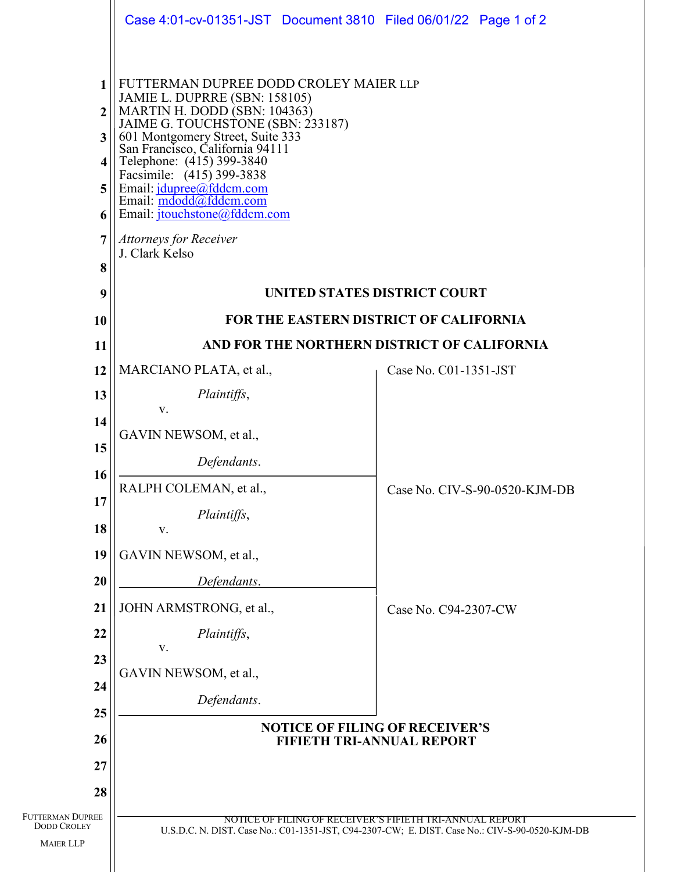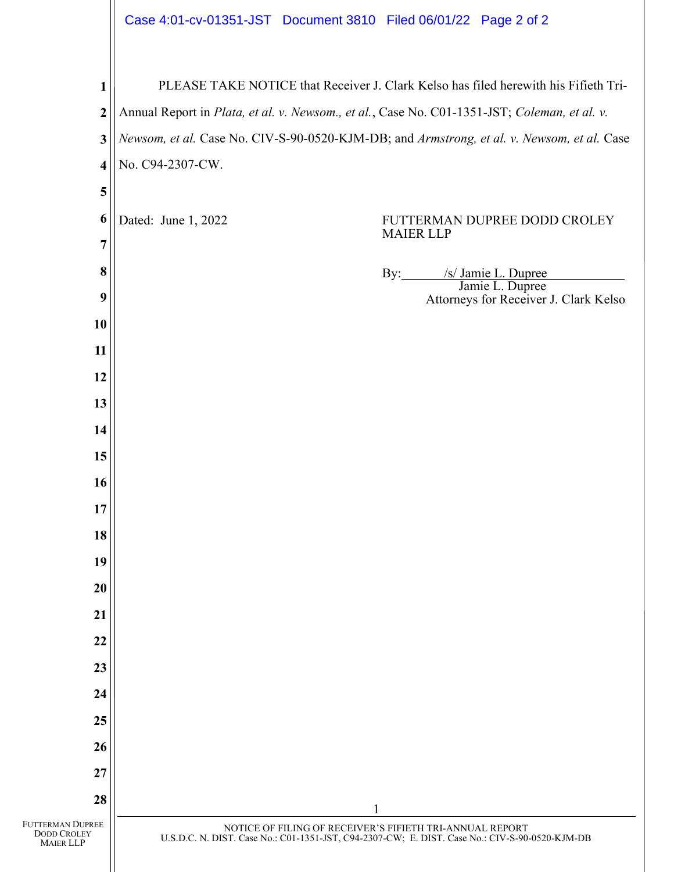| Case 4:01-cv-01351-JST Document 3810 Filed 06/01/22 Page 2 of 2 |  |  |  |
|-----------------------------------------------------------------|--|--|--|
|-----------------------------------------------------------------|--|--|--|

 $\overline{\phantom{a}}$ 

| $\mathbf{1}$                                               | PLEASE TAKE NOTICE that Receiver J. Clark Kelso has filed herewith his Fifieth Tri-          |                                                                                                                                                            |  |  |  |
|------------------------------------------------------------|----------------------------------------------------------------------------------------------|------------------------------------------------------------------------------------------------------------------------------------------------------------|--|--|--|
| $\boldsymbol{2}$                                           | Annual Report in Plata, et al. v. Newsom., et al., Case No. C01-1351-JST; Coleman, et al. v. |                                                                                                                                                            |  |  |  |
| 3                                                          | Newsom, et al. Case No. CIV-S-90-0520-KJM-DB; and Armstrong, et al. v. Newsom, et al. Case   |                                                                                                                                                            |  |  |  |
| $\overline{\mathbf{4}}$                                    | No. C94-2307-CW.                                                                             |                                                                                                                                                            |  |  |  |
| 5                                                          |                                                                                              |                                                                                                                                                            |  |  |  |
| 6<br>7                                                     | Dated: June 1, 2022                                                                          | FUTTERMAN DUPREE DODD CROLEY<br><b>MAIER LLP</b>                                                                                                           |  |  |  |
| 8                                                          |                                                                                              | /s/ Jamie L. Dupree                                                                                                                                        |  |  |  |
| 9                                                          |                                                                                              | By:<br>Jamie L. Dupree<br>Attorneys for Receiver J. Clark Kelso                                                                                            |  |  |  |
| 10                                                         |                                                                                              |                                                                                                                                                            |  |  |  |
| 11                                                         |                                                                                              |                                                                                                                                                            |  |  |  |
| 12                                                         |                                                                                              |                                                                                                                                                            |  |  |  |
| 13                                                         |                                                                                              |                                                                                                                                                            |  |  |  |
| 14                                                         |                                                                                              |                                                                                                                                                            |  |  |  |
| 15                                                         |                                                                                              |                                                                                                                                                            |  |  |  |
| 16                                                         |                                                                                              |                                                                                                                                                            |  |  |  |
| 17                                                         |                                                                                              |                                                                                                                                                            |  |  |  |
| 18                                                         |                                                                                              |                                                                                                                                                            |  |  |  |
| 19                                                         |                                                                                              |                                                                                                                                                            |  |  |  |
| 20                                                         |                                                                                              |                                                                                                                                                            |  |  |  |
| 21                                                         |                                                                                              |                                                                                                                                                            |  |  |  |
| 22                                                         |                                                                                              |                                                                                                                                                            |  |  |  |
| 23                                                         |                                                                                              |                                                                                                                                                            |  |  |  |
| 24                                                         |                                                                                              |                                                                                                                                                            |  |  |  |
| 25                                                         |                                                                                              |                                                                                                                                                            |  |  |  |
| 26                                                         |                                                                                              |                                                                                                                                                            |  |  |  |
| 27                                                         |                                                                                              |                                                                                                                                                            |  |  |  |
| 28                                                         |                                                                                              |                                                                                                                                                            |  |  |  |
| FUTTERMAN DUPREE<br><b>DODD CROLEY</b><br><b>MAIER LLP</b> |                                                                                              | NOTICE OF FILING OF RECEIVER'S FIFIETH TRI-ANNUAL REPORT<br>U.S.D.C. N. DIST. Case No.: C01-1351-JST, C94-2307-CW; E. DIST. Case No.: CIV-S-90-0520-KJM-DB |  |  |  |
|                                                            |                                                                                              |                                                                                                                                                            |  |  |  |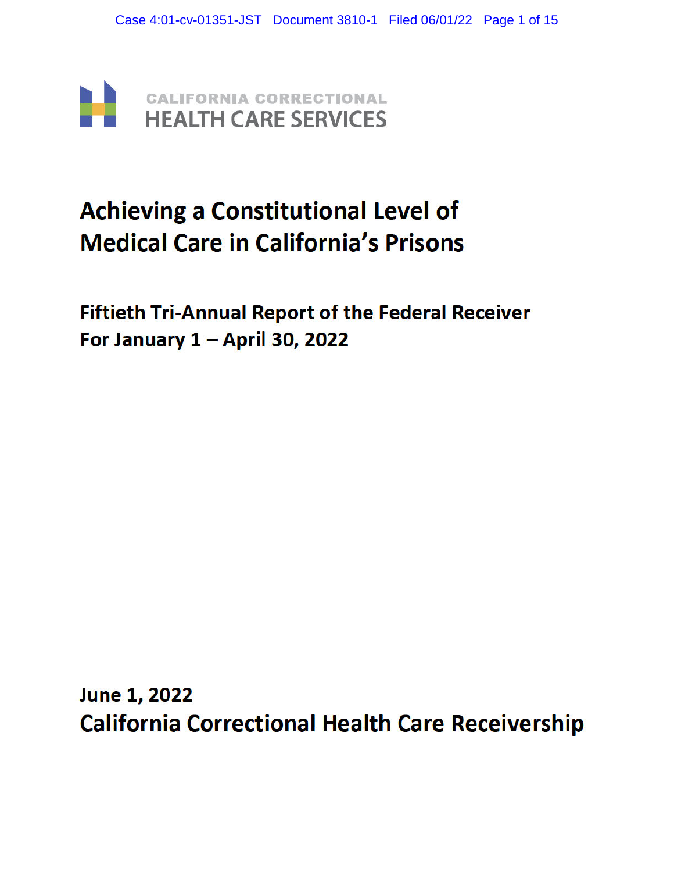

# **Achieving a Constitutional Level of Medical Care in California's Prisons**

**Fiftieth Tri-Annual Report of the Federal Receiver** For January 1 - April 30, 2022

**June 1, 2022 California Correctional Health Care Receivership**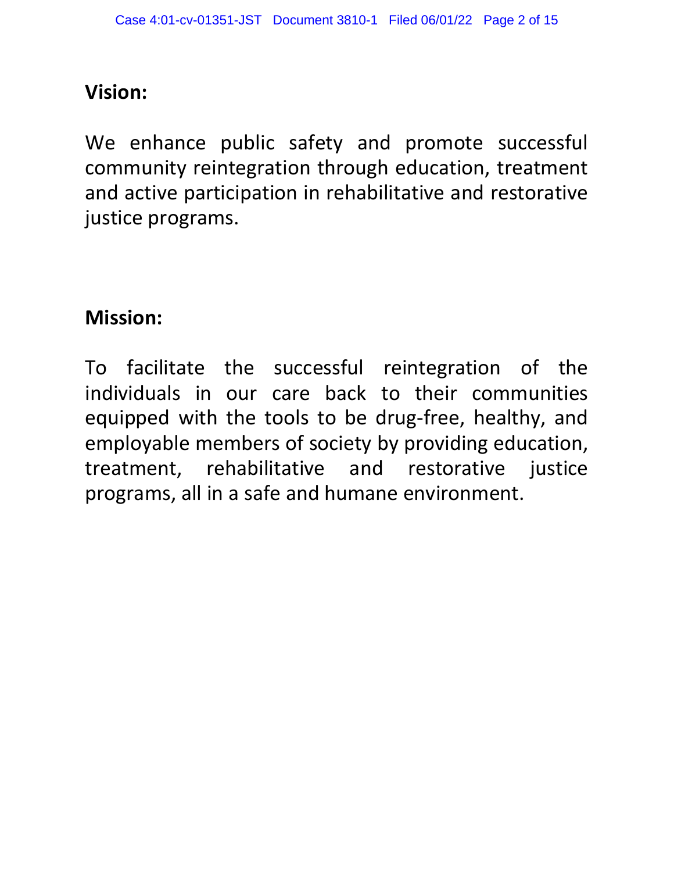# **Vision:**

We enhance public safety and promote successful community reintegration through education, treatment and active participation in rehabilitative and restorative justice programs.

# **Mission:**

To facilitate the successful reintegration of the individuals in our care back to their communities equipped with the tools to be drug-free, healthy, and employable members of society by providing education, treatment, rehabilitative and restorative justice programs, all in a safe and humane environment.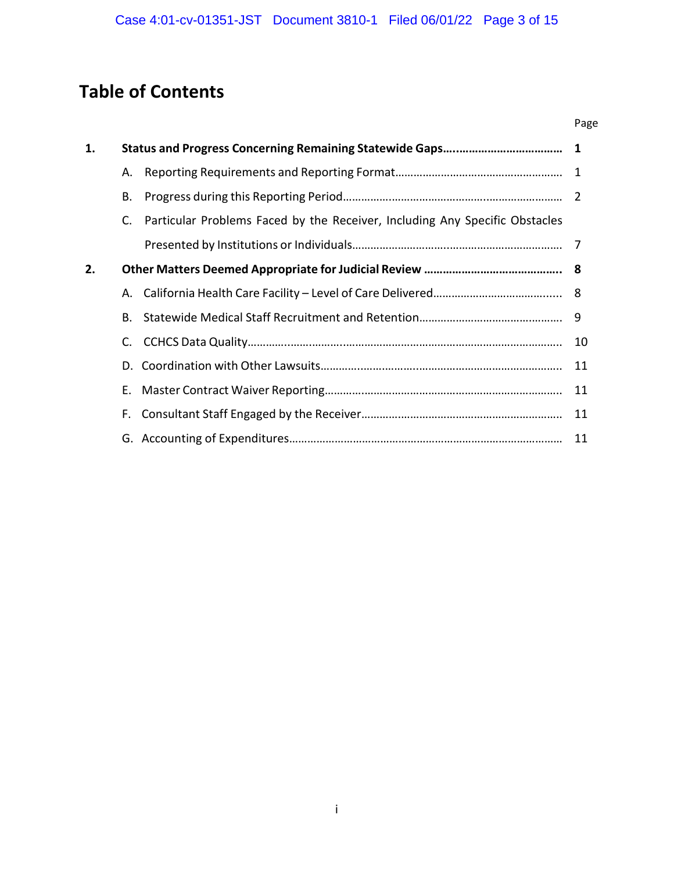# **Table of Contents**

|    |    |                                                                             | Page |  |
|----|----|-----------------------------------------------------------------------------|------|--|
| 1. |    |                                                                             |      |  |
|    | А. |                                                                             |      |  |
|    | Β. |                                                                             |      |  |
|    | C. | Particular Problems Faced by the Receiver, Including Any Specific Obstacles |      |  |
|    |    |                                                                             |      |  |
| 2. |    |                                                                             |      |  |
|    | А. |                                                                             |      |  |
|    | В. |                                                                             |      |  |
|    | C. |                                                                             | 10   |  |
|    | D. |                                                                             | 11   |  |
|    | Е. |                                                                             |      |  |
|    | F. |                                                                             |      |  |
|    |    |                                                                             |      |  |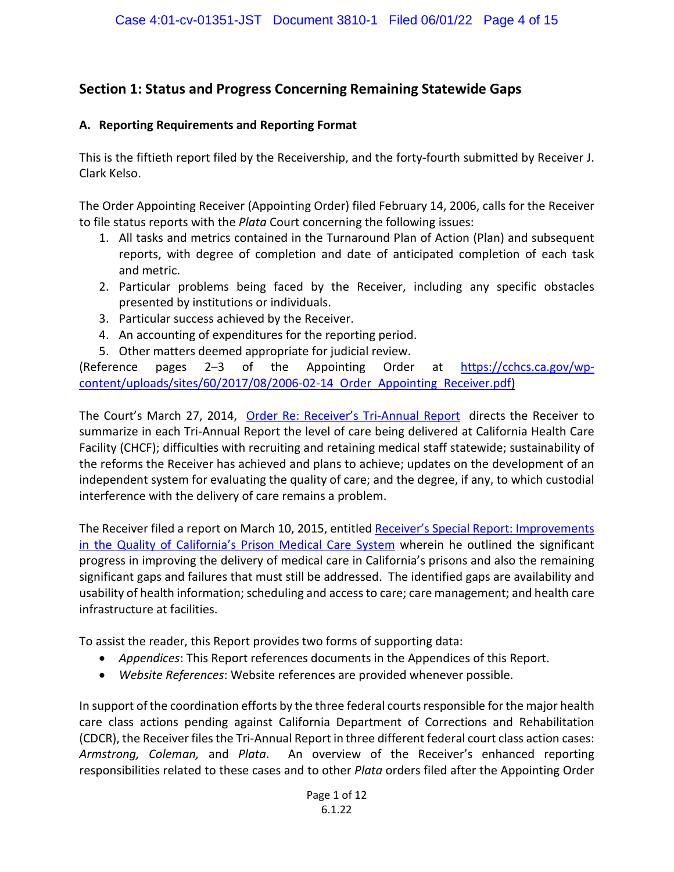# **Section 1: Status and Progress Concerning Remaining Statewide Gaps**

#### **A. Reporting Requirements and Reporting Format**

This is the fiftieth report filed by the Receivership, and the forty-fourth submitted by Receiver J. Clark Kelso.

The Order Appointing Receiver (Appointing Order) filed February 14, 2006, calls for the Receiver to file status reports with the *Plata* Court concerning the following issues:

- 1. All tasks and metrics contained in the Turnaround Plan of Action (Plan) and subsequent reports, with degree of completion and date of anticipated completion of each task and metric.
- 2. Particular problems being faced by the Receiver, including any specific obstacles presented by institutions or individuals.
- 3. Particular success achieved by the Receiver.
- 4. An accounting of expenditures for the reporting period.
- 5. Other matters deemed appropriate for judicial review.

(Reference pages 2–3 of the Appointing Order at [https://cchcs.ca.gov/wp](https://cchcs.ca.gov/wp-content/uploads/sites/60/2017/08/2006-02-14_Order_Appointing_Receiver.pdf)[content/uploads/sites/60/2017/08/2006-02-14 Order Appointing Receiver.pdf\)](https://cchcs.ca.gov/wp-content/uploads/sites/60/2017/08/2006-02-14_Order_Appointing_Receiver.pdf) 

The Court's March 27, 2014, [Order Re: Receiver's Tri-Annual Report](https://cchcs.ca.gov/wp-content/uploads/sites/60/2017/08/2014-03-27-Doc-2776-Order-Re-Receivers-Triannual-Reports.pdf) directs the Receiver to summarize in each Tri-Annual Report the level of care being delivered at California Health Care Facility (CHCF); difficulties with recruiting and retaining medical staff statewide; sustainability of the reforms the Receiver has achieved and plans to achieve; updates on the development of an independent system for evaluating the quality of care; and the degree, if any, to which custodial interference with the delivery of care remains a problem.

The Receiver filed a report on March 10, 2015, entitled [Receiver's Special Report: Improvements](https://cchcs.ca.gov/wp-content/uploads/sites/60/2017/08/Kelso-Special-Report-Filed-031015.pdf)  [in the Quality of California's Prison Medical Care System](https://cchcs.ca.gov/wp-content/uploads/sites/60/2017/08/Kelso-Special-Report-Filed-031015.pdf) wherein he outlined the significant progress in improving the delivery of medical care in California's prisons and also the remaining significant gaps and failures that must still be addressed. The identified gaps are availability and usability of health information; scheduling and access to care; care management; and health care infrastructure at facilities.

To assist the reader, this Report provides two forms of supporting data:

- *Appendices*: This Report references documents in the Appendices of this Report.
- *Website References*: Website references are provided whenever possible.

In support of the coordination efforts by the three federal courts responsible for the major health care class actions pending against California Department of Corrections and Rehabilitation (CDCR), the Receiver files the Tri-Annual Report in three different federal court class action cases: *Armstrong, Coleman,* and *Plata*. An overview of the Receiver's enhanced reporting responsibilities related to these cases and to other *Plata* orders filed after the Appointing Order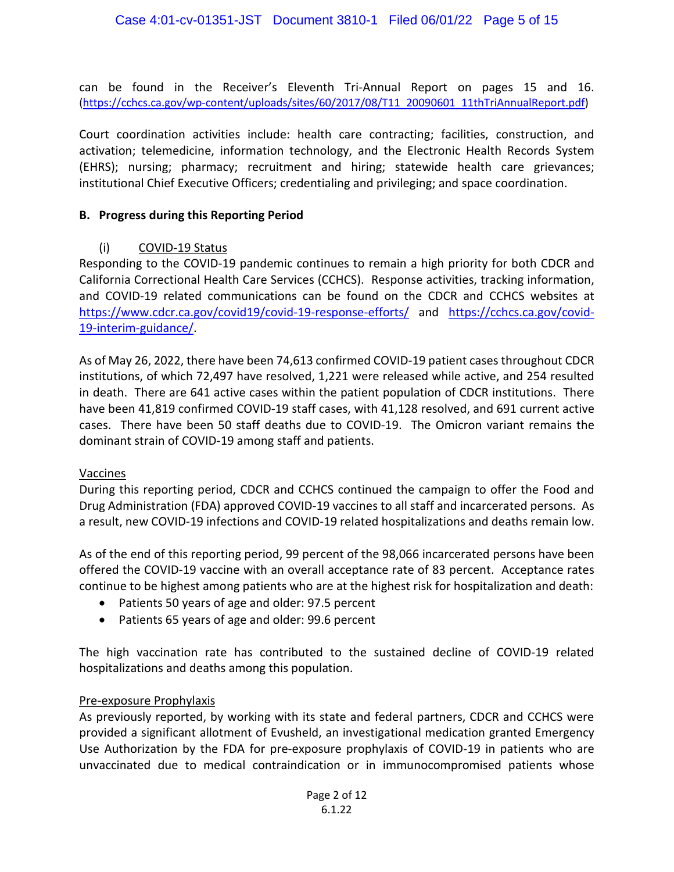can be found in the Receiver's Eleventh Tri-Annual Report on pages 15 and 16. [\(https://cchcs.ca.gov/wp-content/uploads/sites/60/2017/08/T11 20090601 11thTriAnnualReport.pdf\)](https://cchcs.ca.gov/wp-content/uploads/sites/60/2017/08/T11_20090601_11thTriAnnualReport.pdf)

Court coordination activities include: health care contracting; facilities, construction, and activation; telemedicine, information technology, and the Electronic Health Records System (EHRS); nursing; pharmacy; recruitment and hiring; statewide health care grievances; institutional Chief Executive Officers; credentialing and privileging; and space coordination.

#### **B. Progress during this Reporting Period**

# (i) COVID-19 Status

Responding to the COVID-19 pandemic continues to remain a high priority for both CDCR and California Correctional Health Care Services (CCHCS). Response activities, tracking information, and COVID-19 related communications can be found on the CDCR and CCHCS websites at <https://www.cdcr.ca.gov/covid19/covid-19-response-efforts/> and [https://cchcs.ca.gov/covid-](https://cchcs.ca.gov/covid-19-interim-guidance/)[19-interim-guidance/.](https://cchcs.ca.gov/covid-19-interim-guidance/)

As of May 26, 2022, there have been 74,613 confirmed COVID-19 patient cases throughout CDCR institutions, of which 72,497 have resolved, 1,221 were released while active, and 254 resulted in death. There are 641 active cases within the patient population of CDCR institutions. There have been 41,819 confirmed COVID-19 staff cases, with 41,128 resolved, and 691 current active cases. There have been 50 staff deaths due to COVID-19. The Omicron variant remains the dominant strain of COVID-19 among staff and patients.

# Vaccines

During this reporting period, CDCR and CCHCS continued the campaign to offer the Food and Drug Administration (FDA) approved COVID-19 vaccines to all staff and incarcerated persons. As a result, new COVID-19 infections and COVID-19 related hospitalizations and deaths remain low.

As of the end of this reporting period, 99 percent of the 98,066 incarcerated persons have been offered the COVID-19 vaccine with an overall acceptance rate of 83 percent. Acceptance rates continue to be highest among patients who are at the highest risk for hospitalization and death:

- Patients 50 years of age and older: 97.5 percent
- Patients 65 years of age and older: 99.6 percent

The high vaccination rate has contributed to the sustained decline of COVID-19 related hospitalizations and deaths among this population.

#### Pre-exposure Prophylaxis

As previously reported, by working with its state and federal partners, CDCR and CCHCS were provided a significant allotment of Evusheld, an investigational medication granted Emergency Use Authorization by the FDA for pre-exposure prophylaxis of COVID-19 in patients who are unvaccinated due to medical contraindication or in immunocompromised patients whose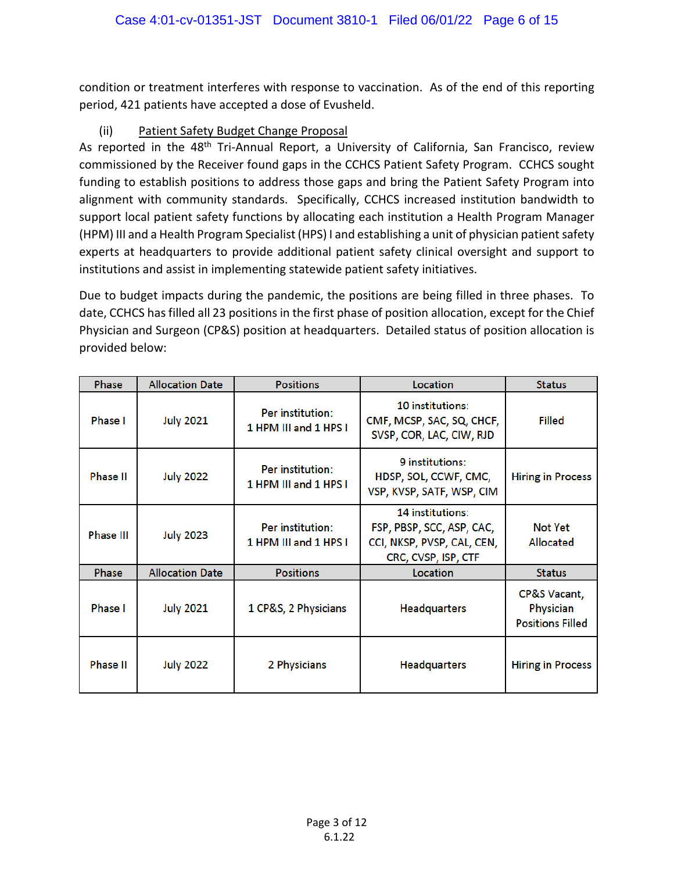condition or treatment interferes with response to vaccination. As of the end of this reporting period, 421 patients have accepted a dose of Evusheld.

# (ii) Patient Safety Budget Change Proposal

As reported in the 48<sup>th</sup> Tri-Annual Report, a University of California, San Francisco, review commissioned by the Receiver found gaps in the CCHCS Patient Safety Program. CCHCS sought funding to establish positions to address those gaps and bring the Patient Safety Program into alignment with community standards. Specifically, CCHCS increased institution bandwidth to support local patient safety functions by allocating each institution a Health Program Manager (HPM) III and a Health Program Specialist (HPS) I and establishing a unit of physician patient safety experts at headquarters to provide additional patient safety clinical oversight and support to institutions and assist in implementing statewide patient safety initiatives.

Due to budget impacts during the pandemic, the positions are being filled in three phases. To date, CCHCS has filled all 23 positions in the first phase of position allocation, except for the Chief Physician and Surgeon (CP&S) position at headquarters. Detailed status of position allocation is provided below:

| <b>Phase</b>     | <b>Allocation Date</b> | <b>Positions</b>                          | Location                                                                                           | <b>Status</b>                                        |
|------------------|------------------------|-------------------------------------------|----------------------------------------------------------------------------------------------------|------------------------------------------------------|
| Phase I          | <b>July 2021</b>       | Per institution:<br>1 HPM III and 1 HPS I | 10 institutions:<br>CMF, MCSP, SAC, SQ, CHCF,<br>SVSP, COR, LAC, CIW, RJD                          | <b>Filled</b>                                        |
| Phase II         | <b>July 2022</b>       | Per institution:<br>1 HPM III and 1 HPS I | 9 institutions:<br>HDSP, SOL, CCWF, CMC,<br>VSP, KVSP, SATF, WSP, CIM                              | <b>Hiring in Process</b>                             |
| <b>Phase III</b> | <b>July 2023</b>       | Per institution:<br>1 HPM III and 1 HPS I | 14 institutions:<br>FSP, PBSP, SCC, ASP, CAC,<br>CCI, NKSP, PVSP, CAL, CEN,<br>CRC, CVSP, ISP, CTF | Not Yet<br>Allocated                                 |
| Phase            | <b>Allocation Date</b> | <b>Positions</b>                          | Location                                                                                           | <b>Status</b>                                        |
| <b>Phase I</b>   | <b>July 2021</b>       | 1 CP&S, 2 Physicians                      | <b>Headquarters</b>                                                                                | CP&S Vacant,<br>Physician<br><b>Positions Filled</b> |
| <b>Phase II</b>  | <b>July 2022</b>       | 2 Physicians                              | <b>Headquarters</b>                                                                                | <b>Hiring in Process</b>                             |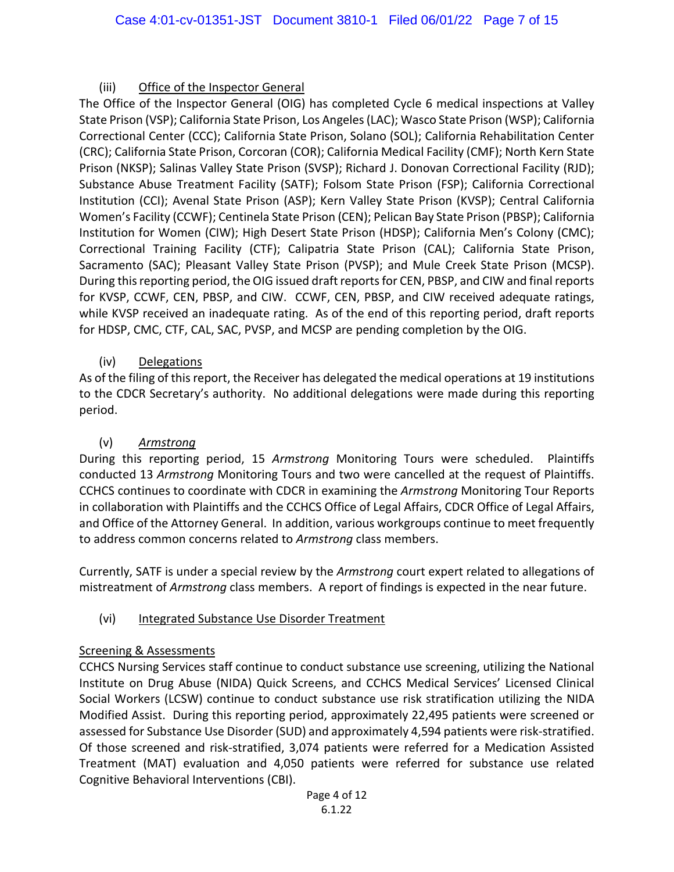# (iii) Office of the Inspector General

The Office of the Inspector General (OIG) has completed Cycle 6 medical inspections at Valley State Prison (VSP); California State Prison, Los Angeles(LAC); Wasco State Prison (WSP); California Correctional Center (CCC); California State Prison, Solano (SOL); California Rehabilitation Center (CRC); California State Prison, Corcoran (COR); California Medical Facility (CMF); North Kern State Prison (NKSP); Salinas Valley State Prison (SVSP); Richard J. Donovan Correctional Facility (RJD); Substance Abuse Treatment Facility (SATF); Folsom State Prison (FSP); California Correctional Institution (CCI); Avenal State Prison (ASP); Kern Valley State Prison (KVSP); Central California Women's Facility (CCWF); Centinela State Prison (CEN); Pelican Bay State Prison (PBSP); California Institution for Women (CIW); High Desert State Prison (HDSP); California Men's Colony (CMC); Correctional Training Facility (CTF); Calipatria State Prison (CAL); California State Prison, Sacramento (SAC); Pleasant Valley State Prison (PVSP); and Mule Creek State Prison (MCSP). During this reporting period, the OIG issued draft reports for CEN, PBSP, and CIW and final reports for KVSP, CCWF, CEN, PBSP, and CIW. CCWF, CEN, PBSP, and CIW received adequate ratings, while KVSP received an inadequate rating. As of the end of this reporting period, draft reports for HDSP, CMC, CTF, CAL, SAC, PVSP, and MCSP are pending completion by the OIG.

# (iv) Delegations

As of the filing of this report, the Receiver has delegated the medical operations at 19 institutions to the CDCR Secretary's authority. No additional delegations were made during this reporting period.

# (v) *Armstrong*

During this reporting period, 15 *Armstrong* Monitoring Tours were scheduled. Plaintiffs conducted 13 *Armstrong* Monitoring Tours and two were cancelled at the request of Plaintiffs. CCHCS continues to coordinate with CDCR in examining the *Armstrong* Monitoring Tour Reports in collaboration with Plaintiffs and the CCHCS Office of Legal Affairs, CDCR Office of Legal Affairs, and Office of the Attorney General. In addition, various workgroups continue to meet frequently to address common concerns related to *Armstrong* class members.

Currently, SATF is under a special review by the *Armstrong* court expert related to allegations of mistreatment of *Armstrong* class members. A report of findings is expected in the near future.

# (vi) Integrated Substance Use Disorder Treatment

# Screening & Assessments

CCHCS Nursing Services staff continue to conduct substance use screening, utilizing the National Institute on Drug Abuse (NIDA) Quick Screens, and CCHCS Medical Services' Licensed Clinical Social Workers (LCSW) continue to conduct substance use risk stratification utilizing the NIDA Modified Assist. During this reporting period, approximately 22,495 patients were screened or assessed for Substance Use Disorder (SUD) and approximately 4,594 patients were risk-stratified. Of those screened and risk-stratified, 3,074 patients were referred for a Medication Assisted Treatment (MAT) evaluation and 4,050 patients were referred for substance use related Cognitive Behavioral Interventions (CBI).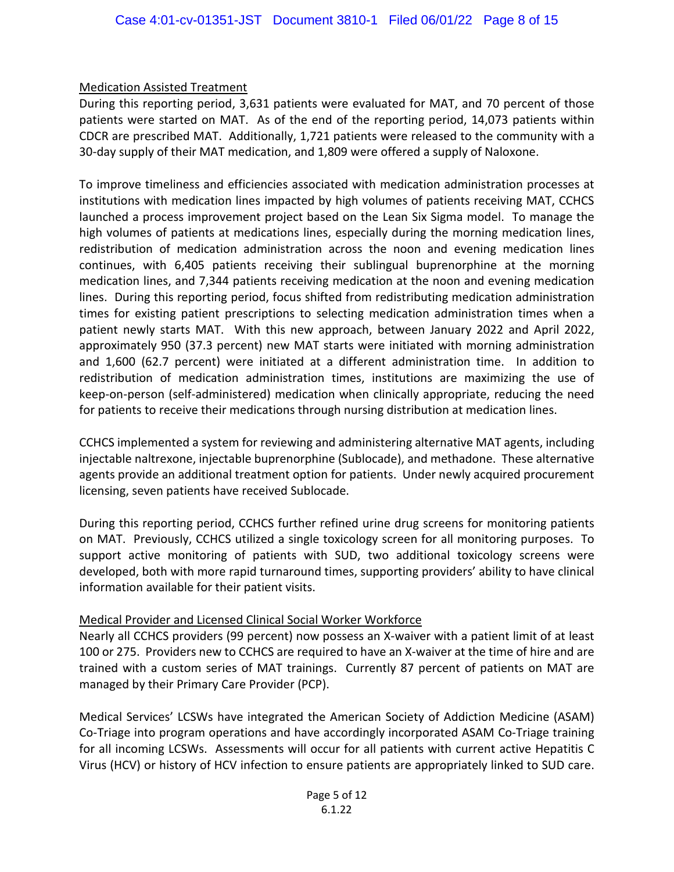# Medication Assisted Treatment

During this reporting period, 3,631 patients were evaluated for MAT, and 70 percent of those patients were started on MAT. As of the end of the reporting period, 14,073 patients within CDCR are prescribed MAT. Additionally, 1,721 patients were released to the community with a 30-day supply of their MAT medication, and 1,809 were offered a supply of Naloxone.

To improve timeliness and efficiencies associated with medication administration processes at institutions with medication lines impacted by high volumes of patients receiving MAT, CCHCS launched a process improvement project based on the Lean Six Sigma model. To manage the high volumes of patients at medications lines, especially during the morning medication lines, redistribution of medication administration across the noon and evening medication lines continues, with 6,405 patients receiving their sublingual buprenorphine at the morning medication lines, and 7,344 patients receiving medication at the noon and evening medication lines. During this reporting period, focus shifted from redistributing medication administration times for existing patient prescriptions to selecting medication administration times when a patient newly starts MAT. With this new approach, between January 2022 and April 2022, approximately 950 (37.3 percent) new MAT starts were initiated with morning administration and 1,600 (62.7 percent) were initiated at a different administration time. In addition to redistribution of medication administration times, institutions are maximizing the use of keep-on-person (self-administered) medication when clinically appropriate, reducing the need for patients to receive their medications through nursing distribution at medication lines.

CCHCS implemented a system for reviewing and administering alternative MAT agents, including injectable naltrexone, injectable buprenorphine (Sublocade), and methadone. These alternative agents provide an additional treatment option for patients. Under newly acquired procurement licensing, seven patients have received Sublocade.

During this reporting period, CCHCS further refined urine drug screens for monitoring patients on MAT. Previously, CCHCS utilized a single toxicology screen for all monitoring purposes. To support active monitoring of patients with SUD, two additional toxicology screens were developed, both with more rapid turnaround times, supporting providers' ability to have clinical information available for their patient visits.

# Medical Provider and Licensed Clinical Social Worker Workforce

Nearly all CCHCS providers (99 percent) now possess an X-waiver with a patient limit of at least 100 or 275. Providers new to CCHCS are required to have an X-waiver at the time of hire and are trained with a custom series of MAT trainings. Currently 87 percent of patients on MAT are managed by their Primary Care Provider (PCP).

Medical Services' LCSWs have integrated the American Society of Addiction Medicine (ASAM) Co-Triage into program operations and have accordingly incorporated ASAM Co-Triage training for all incoming LCSWs. Assessments will occur for all patients with current active Hepatitis C Virus (HCV) or history of HCV infection to ensure patients are appropriately linked to SUD care.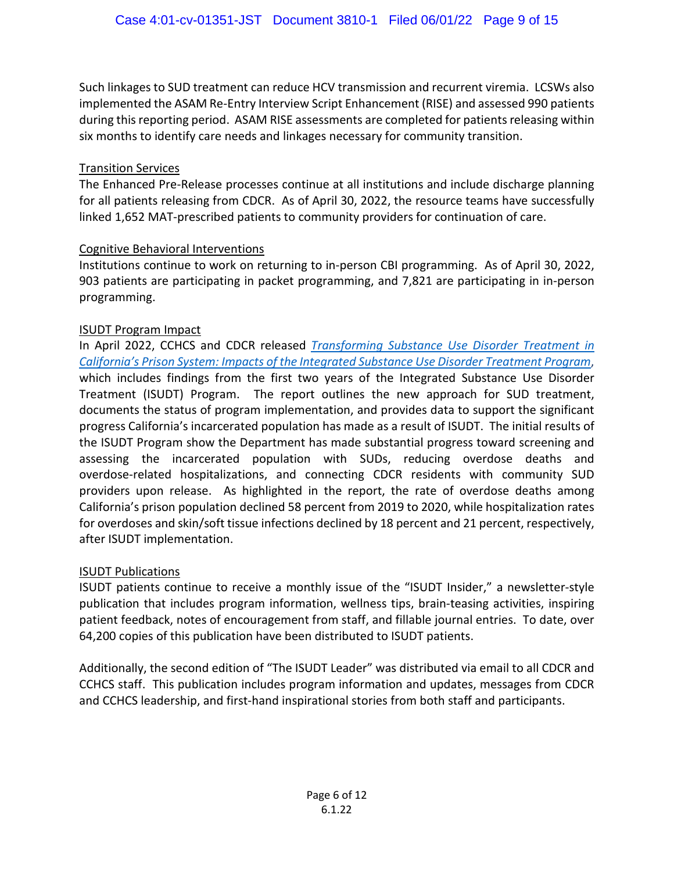Such linkages to SUD treatment can reduce HCV transmission and recurrent viremia. LCSWs also implemented the ASAM Re-Entry Interview Script Enhancement (RISE) and assessed 990 patients during this reporting period. ASAM RISE assessments are completed for patients releasing within six months to identify care needs and linkages necessary for community transition.

#### Transition Services

The Enhanced Pre-Release processes continue at all institutions and include discharge planning for all patients releasing from CDCR. As of April 30, 2022, the resource teams have successfully linked 1,652 MAT-prescribed patients to community providers for continuation of care.

#### Cognitive Behavioral Interventions

Institutions continue to work on returning to in-person CBI programming. As of April 30, 2022, 903 patients are participating in packet programming, and 7,821 are participating in in-person programming.

#### ISUDT Program Impact

In April 2022, CCHCS and CDCR released *Transforming Substance Use Disorder Treatment in [California's Prison System: Impacts of the Integrated Substance Use Disorder Treatment Program](https://cchcs.ca.gov/wp-content/uploads/sites/60/ISUDT/Impacts-ISUDT-Program2019-22.pdf)*, which includes findings from the first two years of the Integrated Substance Use Disorder Treatment (ISUDT) Program. The report outlines the new approach for SUD treatment, documents the status of program implementation, and provides data to support the significant progress California's incarcerated population has made as a result of ISUDT. The initial results of the ISUDT Program show the Department has made substantial progress toward screening and assessing the incarcerated population with SUDs, reducing overdose deaths and overdose-related hospitalizations, and connecting CDCR residents with community SUD providers upon release. As highlighted in the report, the rate of overdose deaths among California's prison population declined 58 percent from 2019 to 2020, while hospitalization rates for overdoses and skin/soft tissue infections declined by 18 percent and 21 percent, respectively, after ISUDT implementation.

#### ISUDT Publications

ISUDT patients continue to receive a monthly issue of the "ISUDT Insider," a newsletter-style publication that includes program information, wellness tips, brain-teasing activities, inspiring patient feedback, notes of encouragement from staff, and fillable journal entries. To date, over 64,200 copies of this publication have been distributed to ISUDT patients.

Additionally, the second edition of "The ISUDT Leader" was distributed via email to all CDCR and CCHCS staff. This publication includes program information and updates, messages from CDCR and CCHCS leadership, and first-hand inspirational stories from both staff and participants.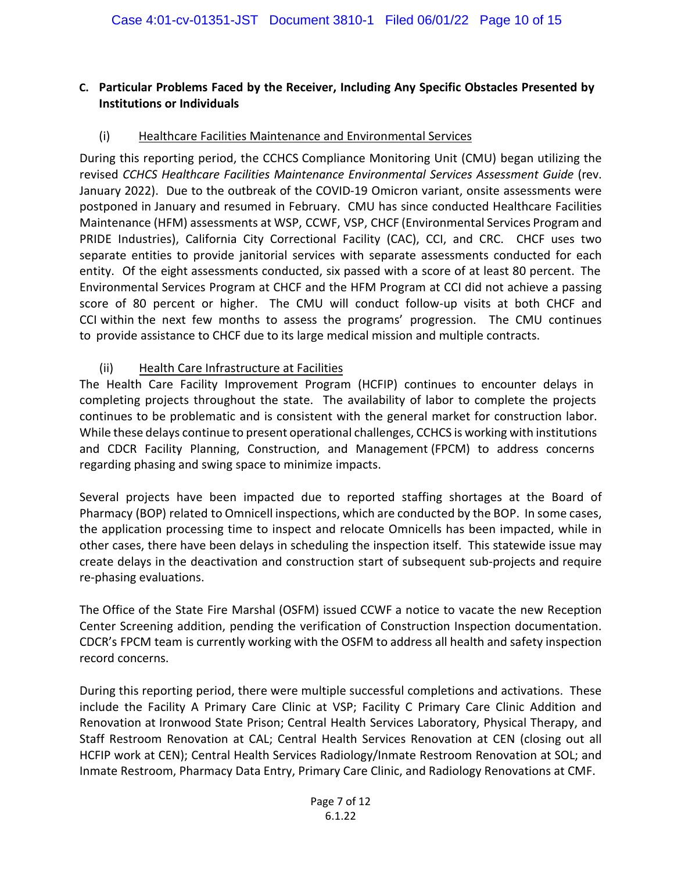# **C. Particular Problems Faced by the Receiver, Including Any Specific Obstacles Presented by Institutions or Individuals**

# (i) Healthcare Facilities Maintenance and Environmental Services

During this reporting period, the CCHCS Compliance Monitoring Unit (CMU) began utilizing the revised *CCHCS Healthcare Facilities Maintenance Environmental Services Assessment Guide* (rev. January 2022). Due to the outbreak of the COVID-19 Omicron variant, onsite assessments were postponed in January and resumed in February. CMU has since conducted Healthcare Facilities Maintenance (HFM) assessments at WSP, CCWF, VSP, CHCF (Environmental Services Program and PRIDE Industries), California City Correctional Facility (CAC), CCI, and CRC. CHCF uses two separate entities to provide janitorial services with separate assessments conducted for each entity. Of the eight assessments conducted, six passed with a score of at least 80 percent.  The Environmental Services Program at CHCF and the HFM Program at CCI did not achieve a passing score of 80 percent or higher. The CMU will conduct follow-up visits at both CHCF and CCI within the next few months to assess the programs' progression. The CMU continues to provide assistance to CHCF due to its large medical mission and multiple contracts. 

#### (ii) Health Care Infrastructure at Facilities

The Health Care Facility Improvement Program (HCFIP) continues to encounter delays in completing projects throughout the state. The availability of labor to complete the projects continues to be problematic and is consistent with the general market for construction labor. While these delays continue to present operational challenges, CCHCS is working with institutions and CDCR Facility Planning, Construction, and Management (FPCM) to address concerns regarding phasing and swing space to minimize impacts.

Several projects have been impacted due to reported staffing shortages at the Board of Pharmacy (BOP) related to Omnicell inspections, which are conducted by the BOP. In some cases, the application processing time to inspect and relocate Omnicells has been impacted, while in other cases, there have been delays in scheduling the inspection itself. This statewide issue may create delays in the deactivation and construction start of subsequent sub-projects and require re-phasing evaluations.

The Office of the State Fire Marshal (OSFM) issued CCWF a notice to vacate the new Reception Center Screening addition, pending the verification of Construction Inspection documentation. CDCR's FPCM team is currently working with the OSFM to address all health and safety inspection record concerns.

During this reporting period, there were multiple successful completions and activations. These include the Facility A Primary Care Clinic at VSP; Facility C Primary Care Clinic Addition and Renovation at Ironwood State Prison; Central Health Services Laboratory, Physical Therapy, and Staff Restroom Renovation at CAL; Central Health Services Renovation at CEN (closing out all HCFIP work at CEN); Central Health Services Radiology/Inmate Restroom Renovation at SOL; and Inmate Restroom, Pharmacy Data Entry, Primary Care Clinic, and Radiology Renovations at CMF.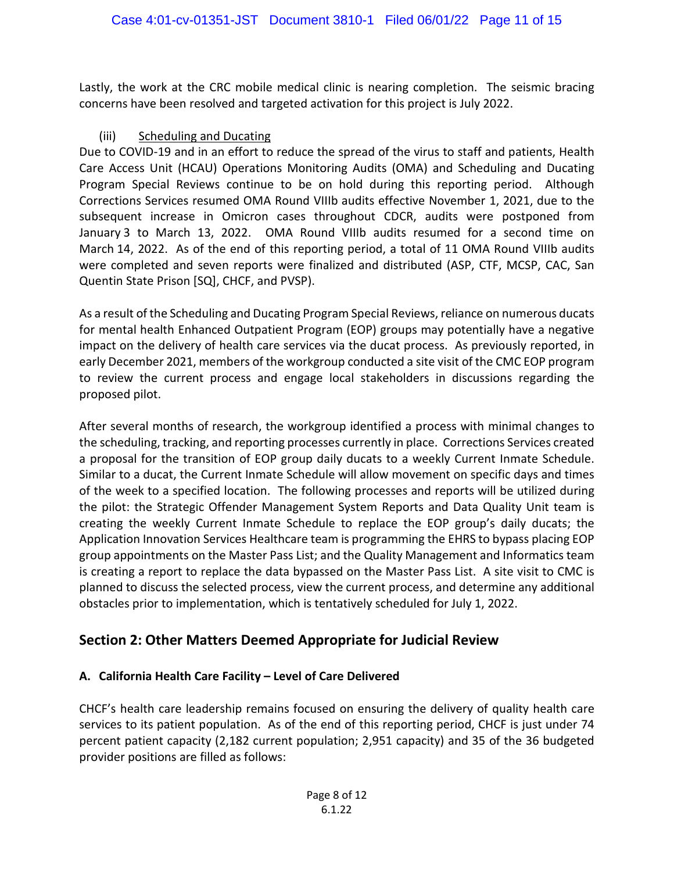Lastly, the work at the CRC mobile medical clinic is nearing completion. The seismic bracing concerns have been resolved and targeted activation for this project is July 2022.

#### (iii) Scheduling and Ducating

Due to COVID-19 and in an effort to reduce the spread of the virus to staff and patients, Health Care Access Unit (HCAU) Operations Monitoring Audits (OMA) and Scheduling and Ducating Program Special Reviews continue to be on hold during this reporting period. Although Corrections Services resumed OMA Round VIIIb audits effective November 1, 2021, due to the subsequent increase in Omicron cases throughout CDCR, audits were postponed from January 3 to March 13, 2022. OMA Round VIIIb audits resumed for a second time on March 14, 2022. As of the end of this reporting period, a total of 11 OMA Round VIIIb audits were completed and seven reports were finalized and distributed (ASP, CTF, MCSP, CAC, San Quentin State Prison [SQ], CHCF, and PVSP).

As a result of the Scheduling and Ducating Program Special Reviews, reliance on numerous ducats for mental health Enhanced Outpatient Program (EOP) groups may potentially have a negative impact on the delivery of health care services via the ducat process. As previously reported, in early December 2021, members of the workgroup conducted a site visit of the CMC EOP program to review the current process and engage local stakeholders in discussions regarding the proposed pilot.

After several months of research, the workgroup identified a process with minimal changes to the scheduling, tracking, and reporting processes currently in place. Corrections Services created a proposal for the transition of EOP group daily ducats to a weekly Current Inmate Schedule. Similar to a ducat, the Current Inmate Schedule will allow movement on specific days and times of the week to a specified location. The following processes and reports will be utilized during the pilot: the Strategic Offender Management System Reports and Data Quality Unit team is creating the weekly Current Inmate Schedule to replace the EOP group's daily ducats; the Application Innovation Services Healthcare team is programming the EHRS to bypass placing EOP group appointments on the Master Pass List; and the Quality Management and Informatics team is creating a report to replace the data bypassed on the Master Pass List. A site visit to CMC is planned to discuss the selected process, view the current process, and determine any additional obstacles prior to implementation, which is tentatively scheduled for July 1, 2022.

# **Section 2: Other Matters Deemed Appropriate for Judicial Review**

# **A. California Health Care Facility – Level of Care Delivered**

CHCF's health care leadership remains focused on ensuring the delivery of quality health care services to its patient population. As of the end of this reporting period, CHCF is just under 74 percent patient capacity (2,182 current population; 2,951 capacity) and 35 of the 36 budgeted provider positions are filled as follows: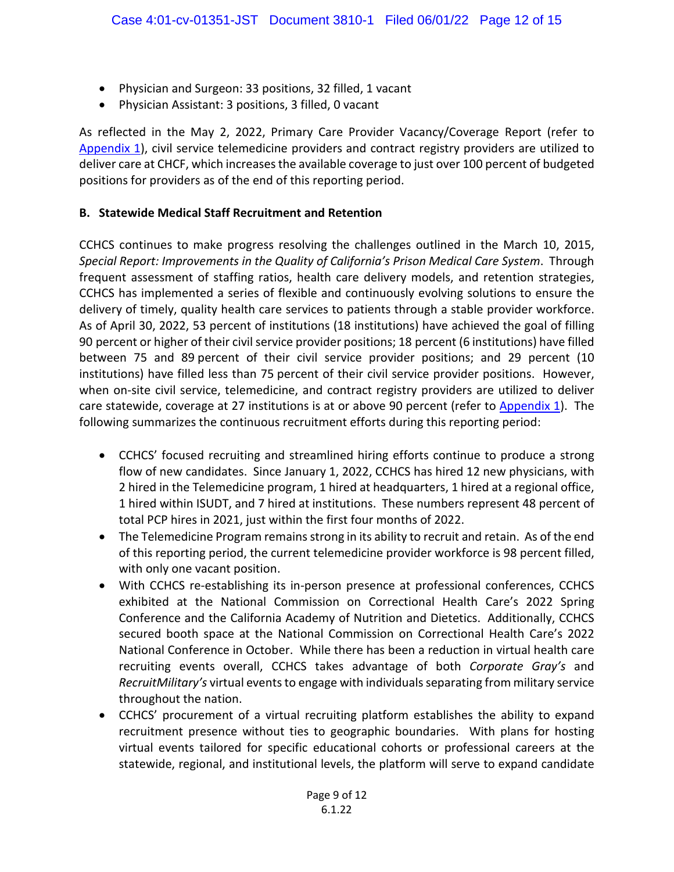- Physician and Surgeon: 33 positions, 32 filled, 1 vacant
- Physician Assistant: 3 positions, 3 filled, 0 vacant

As reflected in the May 2, 2022, Primary Care Provider Vacancy/Coverage Report (refer to [Appendix 1\)](https://cchcs.ca.gov/wp-content/uploads/sites/60/TR/T50_20220601_Appendix1.pdf), civil service telemedicine providers and contract registry providers are utilized to deliver care at CHCF, which increases the available coverage to just over 100 percent of budgeted positions for providers as of the end of this reporting period.

#### **B. Statewide Medical Staff Recruitment and Retention**

CCHCS continues to make progress resolving the challenges outlined in the March 10, 2015, *Special Report: Improvements in the Quality of California's Prison Medical Care System*. Through frequent assessment of staffing ratios, health care delivery models, and retention strategies, CCHCS has implemented a series of flexible and continuously evolving solutions to ensure the delivery of timely, quality health care services to patients through a stable provider workforce. As of April 30, 2022, 53 percent of institutions (18 institutions) have achieved the goal of filling 90 percent or higher of their civil service provider positions; 18 percent (6 institutions) have filled between 75 and 89 percent of their civil service provider positions; and 29 percent (10 institutions) have filled less than 75 percent of their civil service provider positions. However, when on-site civil service, telemedicine, and contract registry providers are utilized to deliver care statewide, coverage at 27 institutions is at or above 90 percent (refer to [Appendix 1](https://cchcs.ca.gov/wp-content/uploads/sites/60/TR/T50_20220601_Appendix1.pdf)). The following summarizes the continuous recruitment efforts during this reporting period:

- CCHCS' focused recruiting and streamlined hiring efforts continue to produce a strong flow of new candidates. Since January 1, 2022, CCHCS has hired 12 new physicians, with 2 hired in the Telemedicine program, 1 hired at headquarters, 1 hired at a regional office, 1 hired within ISUDT, and 7 hired at institutions. These numbers represent 48 percent of total PCP hires in 2021, just within the first four months of 2022.
- The Telemedicine Program remains strong in its ability to recruit and retain. As of the end of this reporting period, the current telemedicine provider workforce is 98 percent filled, with only one vacant position.
- With CCHCS re-establishing its in-person presence at professional conferences, CCHCS exhibited at the National Commission on Correctional Health Care's 2022 Spring Conference and the California Academy of Nutrition and Dietetics. Additionally, CCHCS secured booth space at the National Commission on Correctional Health Care's 2022 National Conference in October. While there has been a reduction in virtual health care recruiting events overall, CCHCS takes advantage of both *Corporate Gray's* and *RecruitMilitary's* virtual events to engage with individuals separating from military service throughout the nation.
- CCHCS' procurement of a virtual recruiting platform establishes the ability to expand recruitment presence without ties to geographic boundaries. With plans for hosting virtual events tailored for specific educational cohorts or professional careers at the statewide, regional, and institutional levels, the platform will serve to expand candidate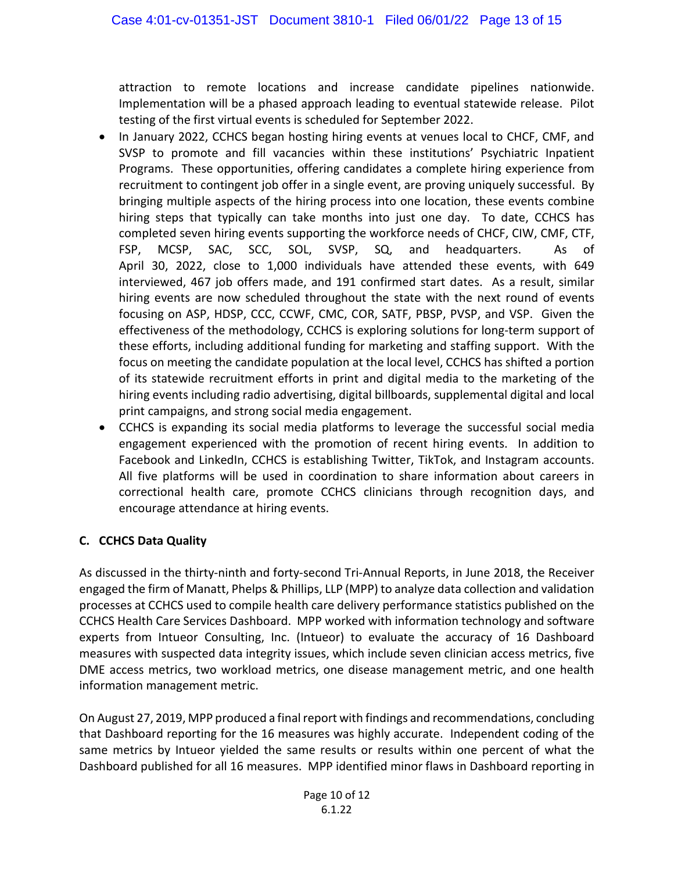attraction to remote locations and increase candidate pipelines nationwide. Implementation will be a phased approach leading to eventual statewide release. Pilot testing of the first virtual events is scheduled for September 2022.

- In January 2022, CCHCS began hosting hiring events at venues local to CHCF, CMF, and SVSP to promote and fill vacancies within these institutions' Psychiatric Inpatient Programs. These opportunities, offering candidates a complete hiring experience from recruitment to contingent job offer in a single event, are proving uniquely successful. By bringing multiple aspects of the hiring process into one location, these events combine hiring steps that typically can take months into just one day. To date, CCHCS has completed seven hiring events supporting the workforce needs of CHCF, CIW, CMF, CTF, FSP, MCSP, SAC, SCC, SOL, SVSP, SQ, and headquarters. As of April 30, 2022, close to 1,000 individuals have attended these events, with 649 interviewed, 467 job offers made, and 191 confirmed start dates. As a result, similar hiring events are now scheduled throughout the state with the next round of events focusing on ASP, HDSP, CCC, CCWF, CMC, COR, SATF, PBSP, PVSP, and VSP. Given the effectiveness of the methodology, CCHCS is exploring solutions for long-term support of these efforts, including additional funding for marketing and staffing support. With the focus on meeting the candidate population at the local level, CCHCS has shifted a portion of its statewide recruitment efforts in print and digital media to the marketing of the hiring events including radio advertising, digital billboards, supplemental digital and local print campaigns, and strong social media engagement.
- CCHCS is expanding its social media platforms to leverage the successful social media engagement experienced with the promotion of recent hiring events. In addition to Facebook and LinkedIn, CCHCS is establishing Twitter, TikTok, and Instagram accounts. All five platforms will be used in coordination to share information about careers in correctional health care, promote CCHCS clinicians through recognition days, and encourage attendance at hiring events.

# **C. CCHCS Data Quality**

As discussed in the thirty-ninth and forty-second Tri-Annual Reports, in June 2018, the Receiver engaged the firm of Manatt, Phelps & Phillips, LLP (MPP) to analyze data collection and validation processes at CCHCS used to compile health care delivery performance statistics published on the CCHCS Health Care Services Dashboard. MPP worked with information technology and software experts from Intueor Consulting, Inc. (Intueor) to evaluate the accuracy of 16 Dashboard measures with suspected data integrity issues, which include seven clinician access metrics, five DME access metrics, two workload metrics, one disease management metric, and one health information management metric.

On August 27, 2019, MPP produced a final report with findings and recommendations, concluding that Dashboard reporting for the 16 measures was highly accurate. Independent coding of the same metrics by Intueor yielded the same results or results within one percent of what the Dashboard published for all 16 measures. MPP identified minor flaws in Dashboard reporting in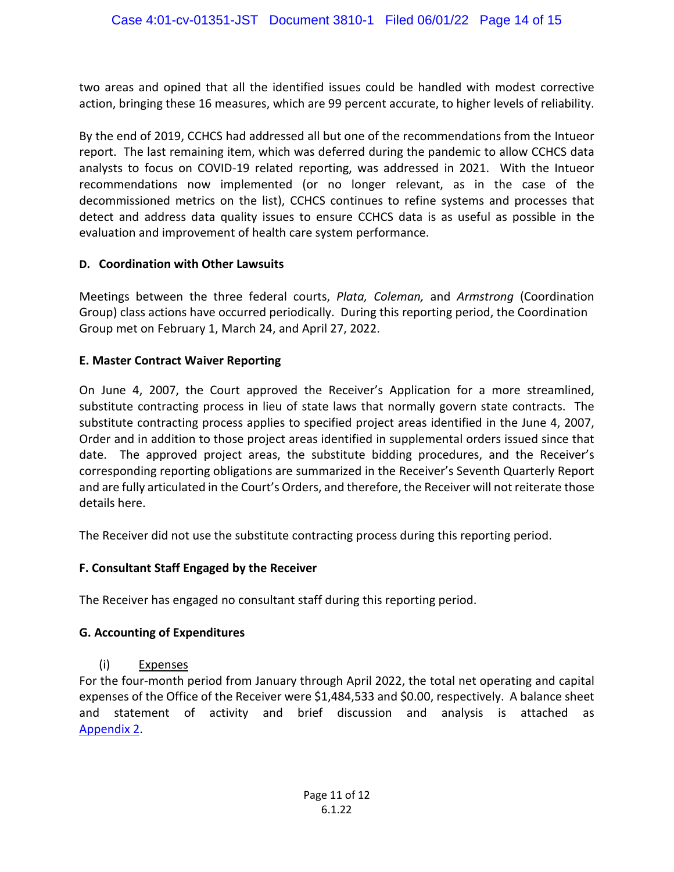two areas and opined that all the identified issues could be handled with modest corrective action, bringing these 16 measures, which are 99 percent accurate, to higher levels of reliability.

By the end of 2019, CCHCS had addressed all but one of the recommendations from the Intueor report. The last remaining item, which was deferred during the pandemic to allow CCHCS data analysts to focus on COVID-19 related reporting, was addressed in 2021. With the Intueor recommendations now implemented (or no longer relevant, as in the case of the decommissioned metrics on the list), CCHCS continues to refine systems and processes that detect and address data quality issues to ensure CCHCS data is as useful as possible in the evaluation and improvement of health care system performance.

#### **D. Coordination with Other Lawsuits**

Meetings between the three federal courts, *Plata, Coleman,* and *Armstrong* (Coordination Group) class actions have occurred periodically. During this reporting period, the Coordination Group met on February 1, March 24, and April 27, 2022.

# **E. Master Contract Waiver Reporting**

On June 4, 2007, the Court approved the Receiver's Application for a more streamlined, substitute contracting process in lieu of state laws that normally govern state contracts. The substitute contracting process applies to specified project areas identified in the June 4, 2007, Order and in addition to those project areas identified in supplemental orders issued since that date. The approved project areas, the substitute bidding procedures, and the Receiver's corresponding reporting obligations are summarized in the Receiver's Seventh Quarterly Report and are fully articulated in the Court's Orders, and therefore, the Receiver will not reiterate those details here.

The Receiver did not use the substitute contracting process during this reporting period.

# **F. Consultant Staff Engaged by the Receiver**

The Receiver has engaged no consultant staff during this reporting period.

# **G. Accounting of Expenditures**

#### (i) Expenses

For the four-month period from January through April 2022, the total net operating and capital expenses of the Office of the Receiver were \$1,484,533 and \$0.00, respectively. A balance sheet and statement of activity and brief discussion and analysis is attached as [Appendix 2.](https://cchcs.ca.gov/wp-content/uploads/sites/60/TR/T50_20220601_Appendix2.pdf)